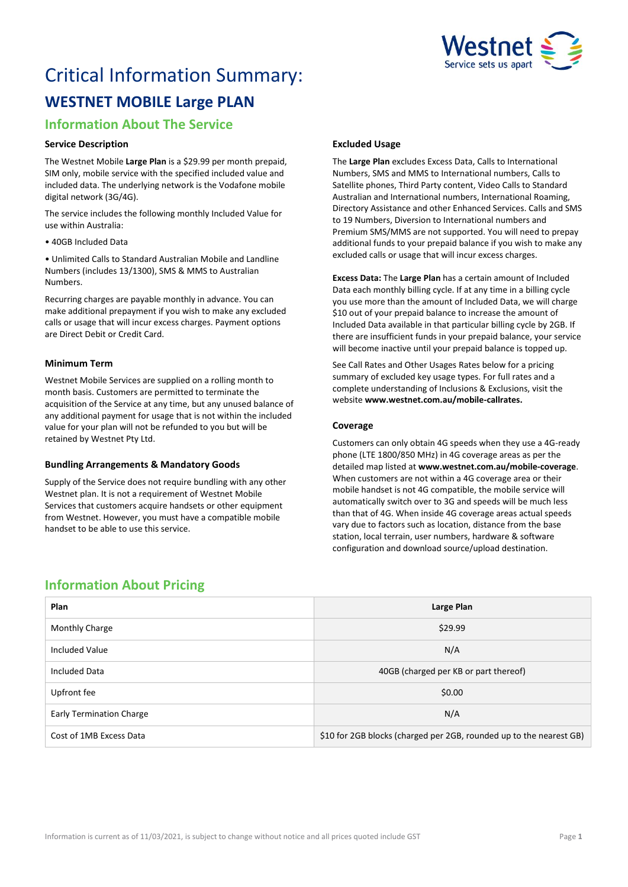

# Critical Information Summary: **WESTNET MOBILE Large PLAN**

# **Information About The Service**

# **Service Description**

The Westnet Mobile **Large Plan** is a \$29.99 per month prepaid, SIM only, mobile service with the specified included value and included data. The underlying network is the Vodafone mobile digital network (3G/4G).

The service includes the following monthly Included Value for use within Australia:

• 40GB Included Data

• Unlimited Calls to Standard Australian Mobile and Landline Numbers (includes 13/1300), SMS & MMS to Australian Numbers.

Recurring charges are payable monthly in advance. You can make additional prepayment if you wish to make any excluded calls or usage that will incur excess charges. Payment options are Direct Debit or Credit Card.

## **Minimum Term**

Westnet Mobile Services are supplied on a rolling month to month basis. Customers are permitted to terminate the acquisition of the Service at any time, but any unused balance of any additional payment for usage that is not within the included value for your plan will not be refunded to you but will be retained by Westnet Pty Ltd.

# **Bundling Arrangements & Mandatory Goods**

Supply of the Service does not require bundling with any other Westnet plan. It is not a requirement of Westnet Mobile Services that customers acquire handsets or other equipment from Westnet. However, you must have a compatible mobile handset to be able to use this service.

# **Excluded Usage**

The **Large Plan** excludes Excess Data, Calls to International Numbers, SMS and MMS to International numbers, Calls to Satellite phones, Third Party content, Video Calls to Standard Australian and International numbers, International Roaming, Directory Assistance and other Enhanced Services. Calls and SMS to 19 Numbers, Diversion to International numbers and Premium SMS/MMS are not supported. You will need to prepay additional funds to your prepaid balance if you wish to make any excluded calls or usage that will incur excess charges.

**Excess Data:** The **Large Plan** has a certain amount of Included Data each monthly billing cycle. If at any time in a billing cycle you use more than the amount of Included Data, we will charge \$10 out of your prepaid balance to increase the amount of Included Data available in that particular billing cycle by 2GB. If there are insufficient funds in your prepaid balance, your service will become inactive until your prepaid balance is topped up.

See Call Rates and Other Usages Rates below for a pricing summary of excluded key usage types. For full rates and a complete understanding of Inclusions & Exclusions, visit the website **[www.westnet.com.au/mobile-callrates.](http://www.westnet.com.au/mobile-callrates)**

## **Coverage**

Customers can only obtain 4G speeds when they use a 4G-ready phone (LTE 1800/850 MHz) in 4G coverage areas as per the detailed map listed at **[www.westnet.com.au/mobile-coverage](https://www.westnet.com.au/mobile-coverage)**. When customers are not within a 4G coverage area or their mobile handset is not 4G compatible, the mobile service will automatically switch over to 3G and speeds will be much less than that of 4G. When inside 4G coverage areas actual speeds vary due to factors such as location, distance from the base station, local terrain, user numbers, hardware & software configuration and download source/upload destination.

# **Information About Pricing**

| Plan                            | Large Plan                                                          |
|---------------------------------|---------------------------------------------------------------------|
| Monthly Charge                  | \$29.99                                                             |
| <b>Included Value</b>           | N/A                                                                 |
| <b>Included Data</b>            | 40GB (charged per KB or part thereof)                               |
| Upfront fee                     | \$0.00                                                              |
| <b>Early Termination Charge</b> | N/A                                                                 |
| Cost of 1MB Excess Data         | \$10 for 2GB blocks (charged per 2GB, rounded up to the nearest GB) |